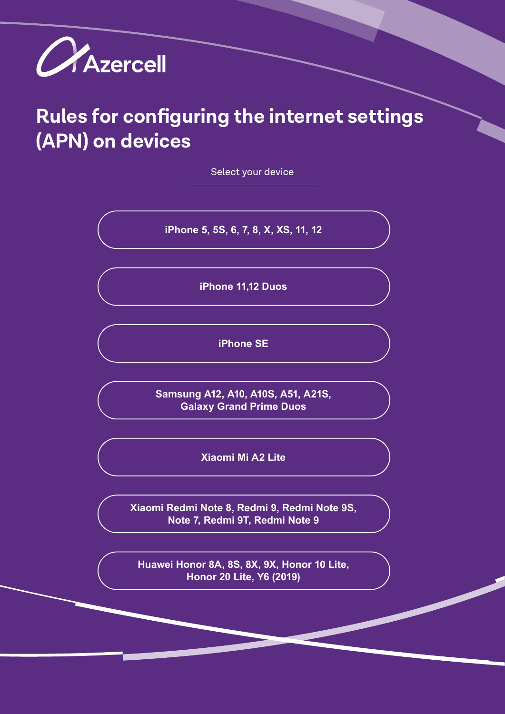

# **Rules for configuring the internet settings (APN) on devices**

Select your device

**iPhone 5, 5S, 6, 7, 8, X, XS, 11, 12**

**iPhone 11,12 Duos**

**iPhone SE**

**Samsung A12, A10, A10S, A51, A21S, Galaxy Grand Prime Duos**

**Xiaomi Mi A2 Lite**

**Xiaomi Redmi Note 8, Redmi 9, Redmi Note 9S, Note 7, Redmi 9T, Redmi Note 9**

**Huawei Honor 8A, 8S, 8X, 9X, Honor 10 Lite, Honor 20 Lite, Y6 (2019)**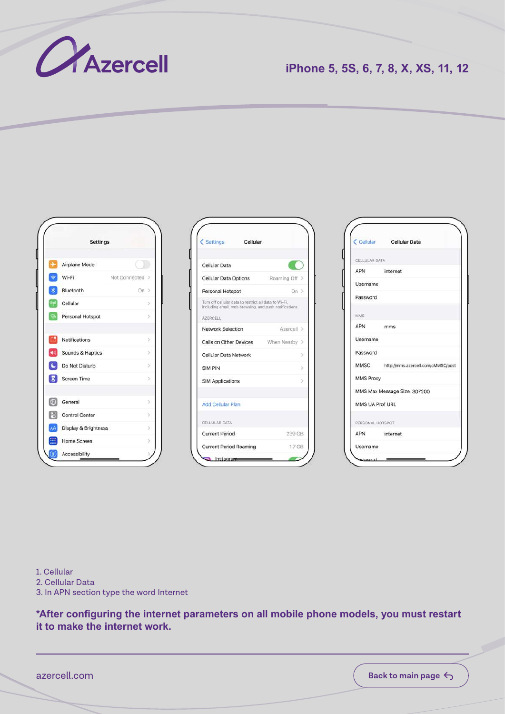

# **iPhone 5, 5S, 6, 7, 8, X, XS, 11, 12**



| Settings Cellular                                                                                                           |               |
|-----------------------------------------------------------------------------------------------------------------------------|---------------|
| Cellular Data                                                                                                               |               |
| <b>Cellular Data Options</b>                                                                                                | Roaming Off   |
| Personal Hotspot                                                                                                            | On >          |
| Turn off cellular data to restrict all data to Wi-Fi,<br>including email, web browsing, and push notifications.<br>AZERCELL |               |
| Network Selection                                                                                                           | Azercell >    |
| Calls on Other Devices When Nearby                                                                                          |               |
| Cellular Data Network                                                                                                       | ×             |
| <b>SIM PIN</b>                                                                                                              | $\geq$        |
| <b>SIM Applications</b>                                                                                                     | $\mathcal{P}$ |
| Add Cellular Plan                                                                                                           |               |
| CELLULAR DATA                                                                                                               |               |
| <b>Current Period</b>                                                                                                       | 239 GB        |
|                                                                                                                             | 1.7 GB        |



1. Cellular 2. Cellular Data 3. In APN section type the word Internet

**\*After configuring the internet parameters on all mobile phone models, you must restart it to make the internet work.**

azercell.com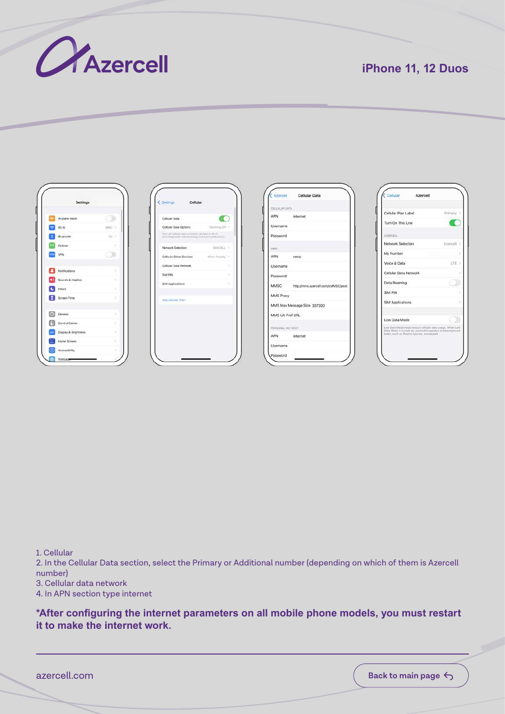

# **iPhone 11, 12 Duos**



| Cellular Data                                                                                                   |             |
|-----------------------------------------------------------------------------------------------------------------|-------------|
| Cellular Data Options                                                                                           | Roaming Off |
| Turn off cellular data to restrict all data to Wi-Fi<br>including ernall, web browning, and push rightfoothorn. |             |
| Network Selection                                                                                               | BAKCELL 3   |
| Calls on Other Devices                                                                                          | When Nearby |
| Cellular Data Network                                                                                           | ×           |
| SIM PIN                                                                                                         | ×           |
| SIM Applications                                                                                                | ×           |
| Add Callular Plan                                                                                               |             |
|                                                                                                                 |             |
|                                                                                                                 |             |

|                  | Azercell Cellular Data                  |
|------------------|-----------------------------------------|
| CELLULAR DATA    |                                         |
| APN              | internet                                |
| Username         |                                         |
| Password         |                                         |
| LOUGH            |                                         |
|                  | APN mms                                 |
| Username         |                                         |
| Password         |                                         |
|                  | MMSC http://mms.azerceli.com/cMMSC/post |
| MMS Proxy        |                                         |
|                  | MMS Max Message Size 307200             |
| MMS UA Prof URL  |                                         |
| PERSONAL HOTSPOT |                                         |
|                  | APN internet                            |
| Username         |                                         |

| Cellular Azercell                                                                                                                                                    |            |
|----------------------------------------------------------------------------------------------------------------------------------------------------------------------|------------|
| Cellular Plan Label                                                                                                                                                  | Primary >  |
| Turn On This Line                                                                                                                                                    |            |
| ATERCELL                                                                                                                                                             |            |
| Network Selection                                                                                                                                                    | Azercell > |
| My Number                                                                                                                                                            | s          |
| Voice & Data                                                                                                                                                         | LTE 3      |
| Cellular Data Network                                                                                                                                                | 5          |
| Data Roaming                                                                                                                                                         |            |
| SIM PIN                                                                                                                                                              | ٠          |
| SIM Applications                                                                                                                                                     | 5          |
| Low Data Mode                                                                                                                                                        |            |
| Low Data Mode helps reduce cellular data usage. When Low.<br>Data Mode is turned on, automatic updates and trackpround<br>tasks, such as Photos syncion, are payred. |            |
|                                                                                                                                                                      |            |

1. Cellular

2. In the Cellular Data section, select the Primary or Additional number (depending on which of them is Azercell number)

3. Cellular data network

4. In APN section type internet

**\*After configuring the internet parameters on all mobile phone models, you must restart it to make the internet work.**

azercell.com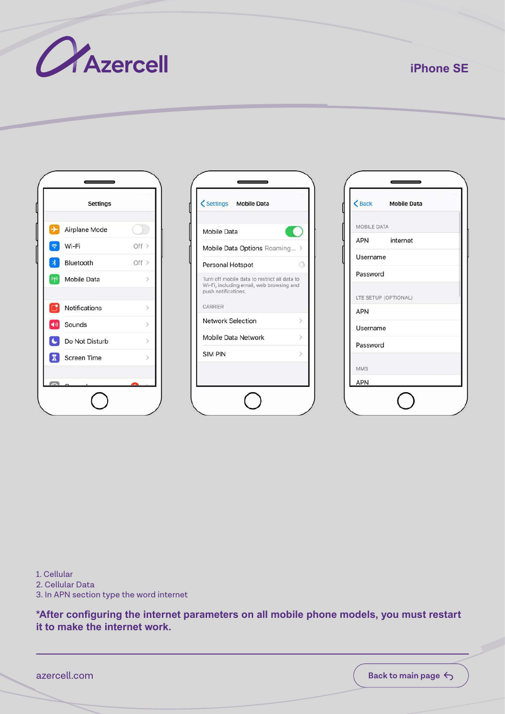

## **iPhone SE**

|        | <b>Settings</b>      |       |
|--------|----------------------|-------|
|        | Airplane Mode        |       |
|        | Wi-Fi                | Off > |
| $\ast$ | Bluetooth            | Off   |
|        | <b>Mobile Data</b>   |       |
| m      | Notifications        |       |
|        | Sounds               | 5     |
|        | C Do Not Disturb     |       |
|        | <b>X</b> Screen Time |       |
|        |                      |       |

| Mobile Data                                                                                                                |  |
|----------------------------------------------------------------------------------------------------------------------------|--|
| Mobile Data Options Roaming >                                                                                              |  |
| Personal Hotspot                                                                                                           |  |
|                                                                                                                            |  |
| Turn off mobile data to restrict all data to<br>Wi-Fi, including email, web browsing and<br>push notifications.<br>CARRIER |  |
| <b>Network Selection</b>                                                                                                   |  |
| Mobile Data Network                                                                                                        |  |



1. Cellular 2. Cellular Data 3. In APN section type the word internet

**\*After configuring the internet parameters on all mobile phone models, you must restart it to make the internet work.**

azercell.com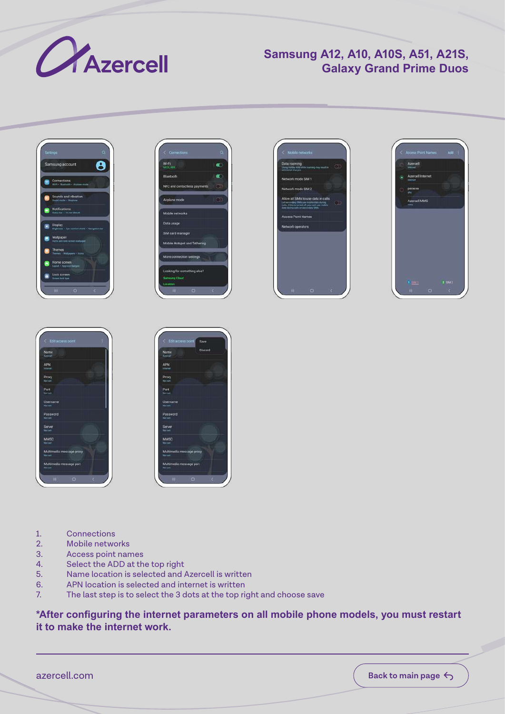

## **Samsung A12, A10, A10S, A51, A21S, Galaxy Grand Prime Duos**













- 1. Connections<br>2. Mobile netwo
- Mobile networks
- 3. Access point names
- 4. Select the ADD at the top right<br>5. Name location is selected and
- 5. Name location is selected and Azercell is written
- 6. APN location is selected and internet is written
- 7. The last step is to select the 3 dots at the top right and choose save

**\*After configuring the internet parameters on all mobile phone models, you must restart it to make the internet work.**

azercell.com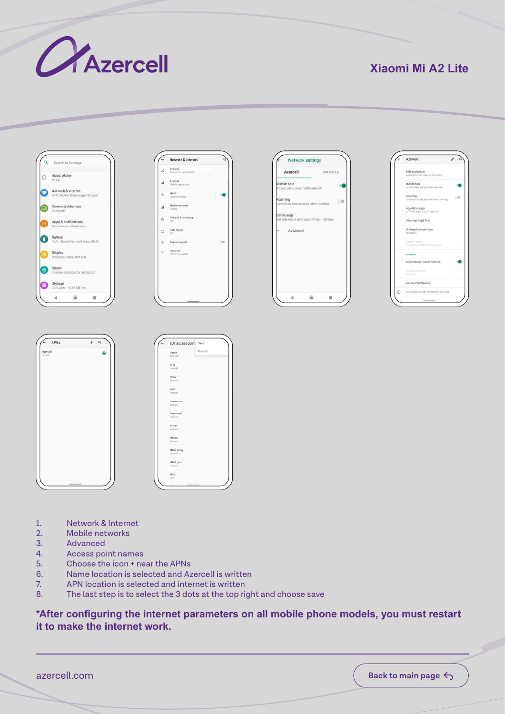

## **Xiaomi Mi A2 Lite**











- 1. Network & Internet
- 2. Mobile networks<br>3. Advanced
- 3. Advanced<br>4. Access po
- 4. Access point names<br>5. Choose the icon + ne
- 5. Choose the icon + near the APNs
- 6. Name location is selected and Azercell is written
- APN location is selected and internet is written
- 8. The last step is to select the 3 dots at the top right and choose save

#### **\*After configuring the internet parameters on all mobile phone models, you must restart it to make the internet work.**

azercell.com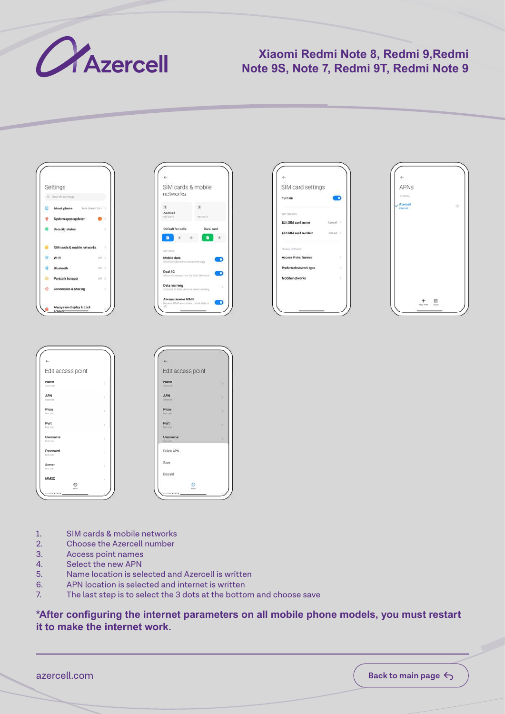

## **Xiaomi Redmi Note 8, Redmi 9,Redmi Note 9S, Note 7, Redmi 9T, Redmi Note 9**











- 1. SIM cards & mobile networks<br>2. Choose the Azercell number
- 2. Choose the Azercell number<br>3. Access point names
- Access point names
- 4. Select the new APN
- 5. Name location is selected and Azercell is written
- 6. APN location is selected and internet is written
- 7. The last step is to select the 3 dots at the bottom and choose save

#### **\*After configuring the internet parameters on all mobile phone models, you must restart it to make the internet work.**

azercell.com